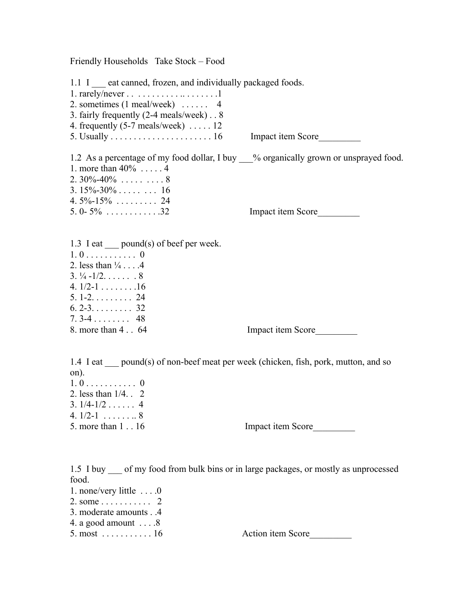Friendly Households Take Stock – Food

1.1 I eat canned, frozen, and individually packaged foods. 1. rarely/never  $\dots \dots \dots \dots \dots \dots 1$ 2. sometimes (1 meal/week) . . . . . . 4 3. fairly frequently (2-4 meals/week) . . 8 4. frequently  $(5-7 \text{ meals/week})$  .... 12 5. Usually  $\dots$   $\dots$   $\dots$   $\dots$   $\dots$   $\dots$   $\dots$   $16$  Impact item Score 1.2 As a percentage of my food dollar, I buy \_\_\_% organically grown or unsprayed food. 1. more than 40% . . . . . 4 2.  $30\% - 40\%$  . . . . . . . . . 8  $3.15\% - 30\%$  . . . . . . . . 16  $4.5\% - 15\%$  . . . . . . . . . 24 5. 0- 5% . . . . . . . . . . . .32 Impact item Score\_\_\_\_\_\_\_\_\_

1.3 I eat \_\_\_\_ pound(s) of beef per week.  $1.0.........0$ 2. less than  $\frac{1}{4}$ ....4  $3. \frac{1}{4} - \frac{1}{2}$ . . . . . . . 8 4.  $1/2-1$  . . . . . . . . 16 5. 1-2. . . . . . . . . 24  $6. 2 - 3. \ldots$  . . . . . . 32  $7.3 - 4.1$ ....... 48 8. more than 4 . . 64 Impact item Score

1.4 I eat pound(s) of non-beef meat per week (chicken, fish, pork, mutton, and so on).  $1.0.........0$ 

2. less than 1/4. . 2  $3. 1/4 - 1/2$  . . . . . . 4 4.  $1/2-1$  . . . . . . . 8

5. more than 1 . . 16 Impact item Score

1.5 I buy \_\_\_ of my food from bulk bins or in large packages, or mostly as unprocessed food.

- 1. none/very little . . . .0
- 2. some . . . . . . . . . . . 2
- 3. moderate amounts . .4
- 4. a good amount . . . .8
- 

 $5. \text{ most } \dots \dots \dots \dots 16$  Action item Score